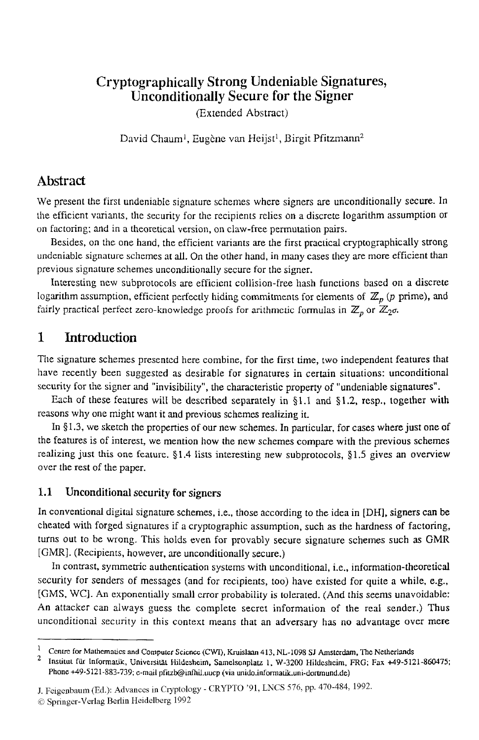## **Cryptographically Strong Undeniable Signatures, Unconditionally Secure for the Signer**

(Extended Abstract)

David Chaum<sup>1</sup>, Eugène van Heijst<sup>1</sup>, Birgit Pfitzmann<sup>2</sup>

## **Abstract**

We present the first undeniable signature schemes where signers are unconditionally secure. In the efficicnt variants, the security for the recipients relies on a discrete logarithm assumption or on factoring; and in a theoretical version, on claw-free permutation pairs.

Besides, on the one hand, the efficient variants are the first practical cryptographically strong undeniable signature schemes at all. On the other hand, in many cases they are more efficient than previous signature schemes unconditionally secure for the signer.

Interesting new subprotocols are efficicnt collision-free hash functions based on a discrete logarithm assumption, efficient perfectly hiding commitments for elements of  $\mathbb{Z}_p$  (p prime), and fairly practical perfect zero-knowledge proofs for arithmetic formulas in  $\mathbb{Z}_p$  or  $\mathbb{Z}_{2^\sigma}$ .

## **1 Introduction**

The signature schemes presented here combine, for the first time, two independent features that have recently been suggested as desirable for signatures in certain situations: unconditional security for the signer and "invisibility", the characteristic property of "undeniable signatures".

Each of these features will be described separately in \$1.1 and **51.2,** resp., together with reasons why one might want it **and** previous schemes realizing it.

In **\$1.3, we** sketch the properties of our new schemes. In particular, for cases where just one of the features is of interest, we mention how the new schemes compare with the previous schemes realizing just this one feature. **9 1.4** lists interesting new subprotocols, \$1.5 gives **an** overview over the rest *of* the paper.

## **1.1 Unconditional security for signers**

In conventional digital signature schemes, i.e.. those according to the idea in [DH], signers can be cheated with forged signatures if a cryptographic assumption, such as the hardness of factoring, turns out to be wrong. This holds even for provably secure signature schemes such as GMR [GMR]. (Recipients, however, are unconditionally secure.)

In contrast, symmetric authentication systems with unconditional, i.e., information-theoretical security for senders of messages (and for recipients, too) have existed for quite a while, e.g., **[GMS,** Wcl. An exponentially small crror probability is tolerated. (And this seems unavoidable: An attacker can always guess the complete secret information of the real sender.) Thus unconditional security in this context means that an adversary has no advantage over mere

Centre for Mathematics and Computer Science (CWI), Kruislaan 413, NL-1098 SJ Amsterdam, The Netherlands

Phonc +49-5121-883-739; c-mail pfitzb@infhil.uucp (via unido.informatik.uni-dortmund.de) \* **IWtilut fiir** Informa&, **UniversiUt Hiidesheim, Samclsonplau** 1, **W-3200 Hildesheim. FRG; Fax 49-5121-860475;** 

J, **Feigenbaum (Ed.): Advances in Cryptology** - CRYPT0 '91, LNCs 576, **PP.** 470-484, 1992'

<sup>@</sup> **Springer-Verlag Berlin Heidelberg** 1992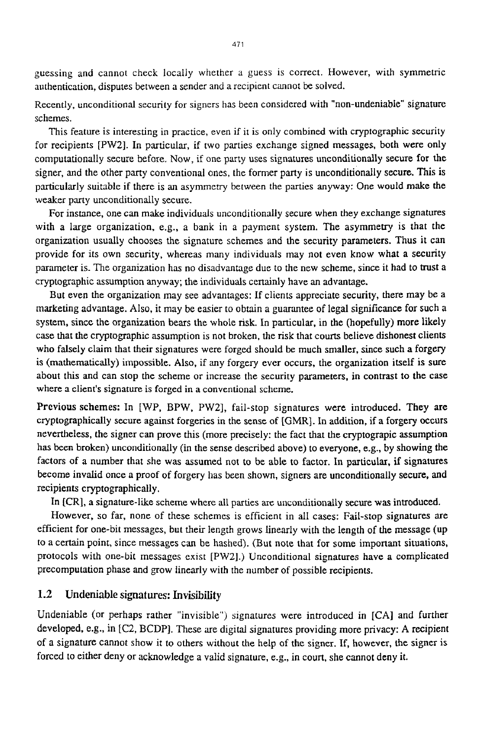guessing and cannot check locally whether a guess is correct. However, with symmetric authentication, disputes between a sender and a recipient cannot be solved.

Recently, unconditional security for signers has been considered with "non-undeniable" signature schemes.

This feature is interesting in practice, even if it is only combined with cryptographic security for recipients [PW2]. In particular, if two parties exchange signed messages, both were only computationally secure before. **Now,** if one party uses signatures unconditionally secure **for** the signer, and the other party conventional ones, the former party is unconditionally secure. This is particularly suitable if there is **an** asymmefry between the parties anyway: One **would** make the weaker party unconditionally secure.

For instance, one can make individuals unconditionally secure when they exchange signatures with a large organization, e.g.. a bank in a payment system. The asymmetry is that the organization usually chooses the signature schemes and the security parameters. Thus it can provide for its own security, whereas many individuals may not even know what a security parameter is. The organization has no disadvantage due to the new scheme, since it had to trust a cryptographic assumption anyway; the individuals certainly have **an** advantage.

But even the organization may see advantages: If clients appreciate security, there may be a marketing advantage. Also, it may be easier to obtain a guarantee of legal significance for such **a**  system, since the organization bears the whole risk. In particular, in the (hopefully) more likely case that the cryptographic assumption is not broken, the risk that courts believe dishonest clients who falsely claim that their signatures were forged should be much smaller, since such a forgery **is** (mathematically) impossible. **Also,** if any forgery ever occurs, the organization itself is sure about this and can stop the scheme or increase the security parameters, in contrast to the case where **a** client's signature **is** forged in a conventional scheme.

Previous schemes: In [WP, BPW, PW2], fail-stop signatures were introduced. They are cryptographically secure against forgeries in the sense of [GMR]. In addition, if a **forgeery** occurs nevertheless, the signer can prove this (more precisely: the fact that the cryptograpic assumption has been broken) unconditionally (in the sense described above) to everyone, e.g., by showing the factors of a number that she was assumed not to be able to factor. In particular, **if** signatures become invalid once a proof of forgery **has** been shown, signers are unconditionally secure, **and**  recipients cryptographically.

In **[CR], a** signature-like scheme where all parties are unconditionally secure was introduced.

However, so far, none of these schemes is efficient in all cases: Fail-stop signatures are efficient for one-bit messages, but their length grows linearly with the length of the message (up to a certain point, since messages can be hashed). (But note that for some important situations, protocols with one-bit messages exist [PW2].) Unconditional signatures have a complicated precomputation phase and grow linearly with the number of possible recipients.

## **1.2 Undeniable signatures: Invisibility**

Undeniable (or perhaps rather "invisible") signatures were introduced in **[CAI** and further developed, e.g., in [C2, BCDP]. These are digital signatures providing more privacy: A recipient of a Signature cannot show it to others without the help of the signer. **If,** however, the signer is forced to either deny or acknowledge a valid signature, e-g., in court, she cannot deny it.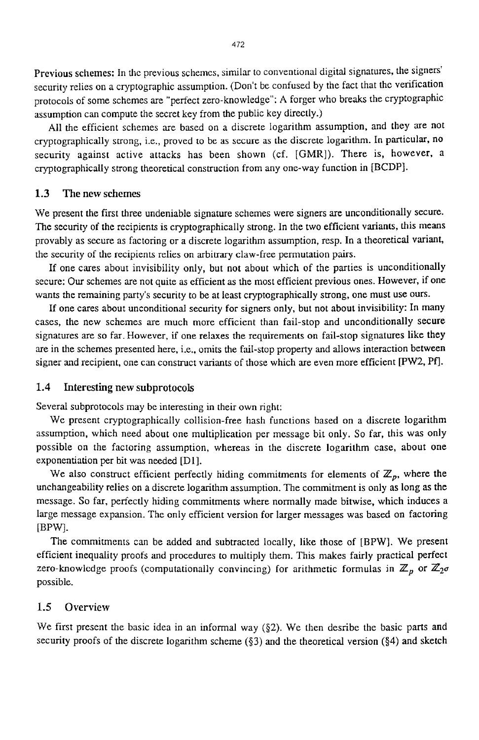Previous schemes: In the previous schemes, similar to conventional digital signatures, the signers' security relies on a cryptographic assumption. (Don't be confused by the fact that the verification protocols of some schemes are "perfect zero-knowledge": **A** forger who breaks the cryptographic assumption can compute the secret key from the public key directly.)

All the efficient schemes are based on a discrete logarithm assumption, and they are not cryptographically strong, i.e., proved to be as secure **as** the discrete logarithm. In particular, no security against active attacks has been shown (cf. [GMR]). There is, however, a cryptographically strong theoretical construction from any one-way function in [BCDPI.

#### **1.3 The new schemes**

We present the first three undeniable signature schemes were signers are unconditionally secure. The security of the recipients is cryptographically strong. In the two efficient variants, this means provably as secure **as** factoring or a discrete logarithm assumption, resp. In a theoreticid variant, the security of die recipients relies on arbitrary claw-free permutation pairs.

If one cares about invisibility only, but not about which of the parties is unconditionally secure: **Our** schemes are not quite as efficient as the most efficient previous ones. However, if one wants the remaining party's security to be at least cryptographically strong, one must use ours.

If one cares about unconditional security for signers only, but not about invisibility: In many cases, the new schemes are much more efficient than fail-stop and unconditionally secure signatures are so far. However, if one relaxes the requirements on fail-stop signatures like they are in the schemes presented here, i.e., omits the fail-stop property and allows interaction between signer and recipient, one can construct variants of those which are even more efficient [PW2, **Pfl.** 

#### **1.4 Interesting** new **subprotocols**

Several subprotocols may be interesting in their own right:

We present cryptographically collision-free hash functions based on a discrete logarithm assumption, which need about one multiplication per message bit only. So far, this **was** only possible on the factoring assumption, whereas in the discrete logarithm case, about one exponentiation per bit was needed [Dl].

We also construct efficient perfectly hiding commitments for elements of  $\mathbb{Z}_p$ , where the unchangeability relies on **a** discrete logarithm assumption. The commitment is only as long as the message. So far, perfectly hiding commitments where normally made bitwise, which induces a large message expansion. The only efficient version for larger messages was based on factoring [BPW].

The commitments can be added and subtracted locally, like those of **[BPW].** We present efficient inequality proofs and procedures to multiply them. This makes fairly practical perfect zero-knowledge proofs (computationally convincing) for arithmetic formulas in  $\mathbb{Z}_p$  or  $\mathbb{Z}_2\sigma$ possible.

#### 1.5 Overview

We first present the basic idea in an informal way (\$2). We then desribe the basic **parts** and security proofs of the discrete logarithm scheme **(\$3)** and the theoretical version **(\$4)** and sketch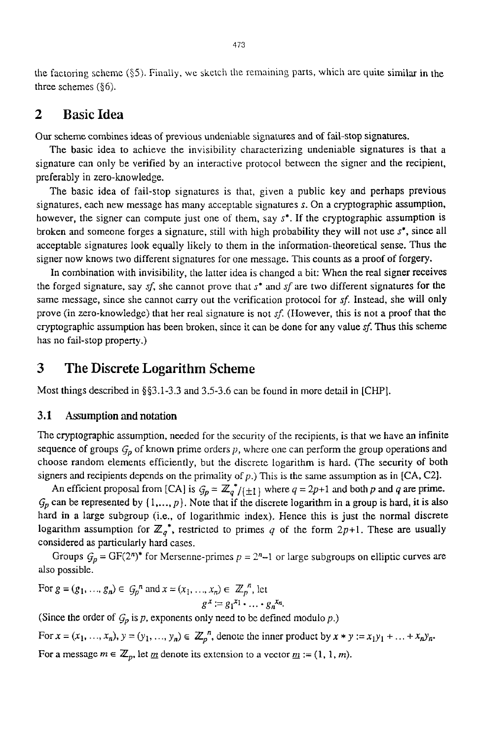the factoring schcmc *(\$5).* Finally, we sketch the remaining parts, which are quite similar in the three schemes **(96).** 

## **2 BasicIdea**

**Our** scheme combines ideas of previous undeniable signatures and of fail-stop signatures.

The basic idea to achieve the invisibility characterizing undeniable signatures is that a signature can only be verified by an interactive protocol between the signer and the recipient, preferably in zero-knowledge.

The basic idea of fail-stop signatures is that, given a public key and perhaps previous signatures, each new message has many acceptable signatures s. On a cryptographic assumption, however, the signer can compute just one of them, say **s'.** If the cryptographic assumption is broken and someone forges a signature, still with high probability they will not use **s',** since all acceptable signatures look equally likely to them in the inforrnation-theoretical sense. Thus the signer now knows two different signatures for one message. This counts **as** a proof of forgery.

In combination with invisibility, the latter idea is changed a bit: When the real signer receives the forged signature, say *sf,* she cannot prove that s\* and *sf* are two different signatures for the same message, since she cannot carry out the verification protocol for *sf.* Instead, she **will** only prove (in zero-knowledge) that her red signature is not *sJ* (However, this is not a proof that **the**  cryptographic assumption has been broken, since it can be done for any value *sf.* Thus this scheme has no fail-stop property.)

## **3 The Discrete Logarithm Scheme**

Most things described in §§3.1-3.3 and 3.5-3.6 can be found in more detail in *[CHP]*.

#### **3.1 Assumption and notation**

The cryptographic assumption, needed for the security of the recipients, is that we have **an** infinite sequence of groups  $G_p$  of known prime orders  $p$ , where one can perform the group operations and choose random elements efficiently, but the discrete logarithm is hard. (The security of both signers and recipients depends on the primality of  $p$ .) This is the same assumption as in  $[CA, C2]$ .

An efficient proposal from [CA] is  $G_p = \mathbb{Z}_q^*/{\{\pm 1\}}$  where  $q = 2p+1$  and both p and q are prime.  $G_p$  can be represented by  $\{1, \ldots, p\}$ . Note that if the discrete logarithm in a group is hard, it is also hard **in** a large subgroup (i.e., of logarithmic index). Hence this is just the normal discrete logarithm assumption for  $\mathbb{Z}_q^*$ , restricted to primes q of the form  $2p+1$ . These are usually considered **as** particularly hard cases.

Groups  $G_p = GF(2^n)^*$  for Mersenne-primes  $p = 2^n - 1$  or large subgroups on elliptic curves are also possible.

For 
$$
g = (g_1, ..., g_n) \in G_p^n
$$
 and  $x = (x_1, ..., x_n) \in \mathbb{Z}_p^n$ , let  
 $g^x := g_1^{x_1} \cdot ... \cdot g_n^{x_n}$ .

(Since the order of  $\mathcal{G}_p$  is *p*, exponents only need to be defined modulo *p*.)

For  $x = (x_1, ..., x_n), y = (y_1, ..., y_n) \in \mathbb{Z}_p^n$ , denote the inner product by  $x * y := x_1y_1 + ... + x_ny_n$ . For a message  $m \in \mathbb{Z}_p$ , let <u>m</u> denote its extension to a vector  $m := (1, 1, m)$ .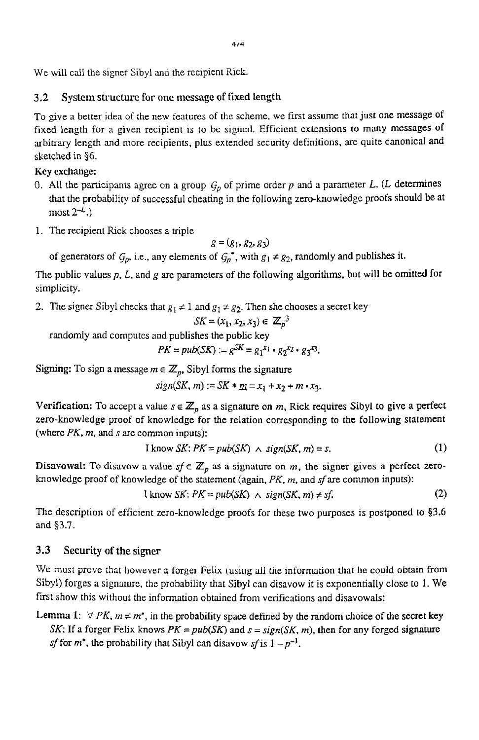We will call the signer Sibyl and the recipient Rick.

#### **3.2 System structure** for one **message** of **fixed length**

To give a better idea of the new features of the scheme, we first assume that just one message *of*  fixed length for a given recipient is to be signed. Efficient extensions to many messages **of**  arbitrary length and more recipients, plus extended security definitions, are quite canonical and sketched in **§6.** 

## **Key exchange:**

- 0. All the participants agree on a group  $G_p$  of prime order p and a parameter L. (L determines that the probability of successful cheating in the following zero-knowledge proofs should **be** at most *2-L.)*
- 1. The recipient Rick chooses a triple

$$
g=(g_1,g_2,g_3)
$$

of generators of  $G_p$ , i.e., any elements of  $G_p^*$ , with  $g_1 \neq g_2$ , randomly and publishes it.

The public values *p, L,* and g are parameters of the following algorithms, but will be omitted for simplicity.

2. The signer Sibyl checks that  $g_1 \neq 1$  and  $g_1 \neq g_2$ . Then she chooses a secret key

$$
SK = (x_1, x_2, x_3) \in \mathbb{Z}
$$

randomly and computes and publishes the public key

 $PK = pub(SK) := g^{SK} = g_1^{x_1} \cdot g_2^{x_2} \cdot g_3^{x_3}.$ 

Signing: To sign a message  $m \in \mathbb{Z}_p$ , Sibyl forms the signature

$$
sign(SK, m) := SK * m = x_1 + x_2 + m \cdot x_3.
$$

**Verification:** To accept a value  $s \in \mathbb{Z}_p$  as a signature on *m*, Rick requires Sibyl to give a perfect zero-knowledge proof of knowledge for the relation corresponding to the following statement (where *PK, m,* and s are common inputs):

$$
I know SK: PK = pub(SK) \land sign(SK, m) = s.
$$
 (1)

**Disavowal:** To disavow a value  $sf \in \mathbb{Z}_p$  as a signature on *m*, the signer gives a perfect zeroknowledge proof of knowledge of the statement (again, *PK, m,* and *sf* are common inputs):

 $1$  know *SK*:  $PK = pub(SK) \land sign(SK, m) \neq sf.$  (2)

The description of efficient zero-knowledge proofs for these two purposes is postponed to *03.6*  and **93.7.** 

## **3.3 Security of the signer**

We must prove that however a forger Felix (using all the information that he could obtain from Sibyl) forges a signarurc, the probability that Sibyl can disavow it is exponentially close to 1. **We**  fist show this without the information obtained from verifications and disavowals:

Lemma 1:  $\forall$  *PK, m*  $\neq$  *m<sup>\*</sup>,* in the probability space defined by the random choice of the secret key *SK*: If a forger Felix knows  $PK = pub(SK)$  and  $s = sign(SK, m)$ , then for any forged signature *sf* for  $m^*$ , the probability that Sibyl can disavow sf is  $1 - p^{-1}$ .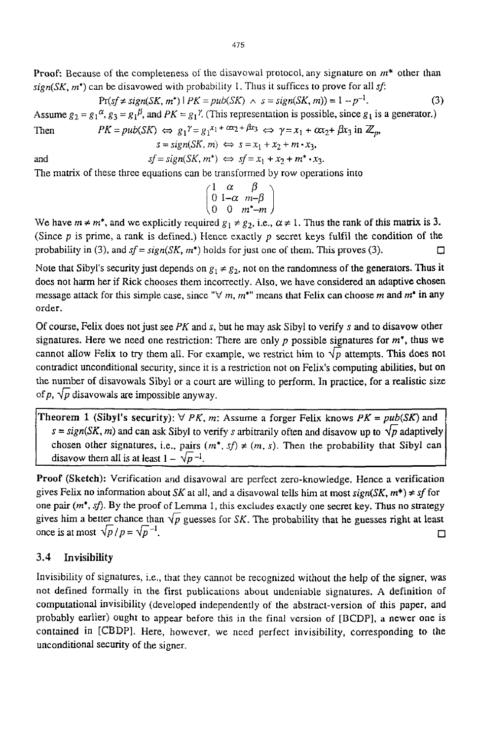Proof: Because of the completeness of the disavowai protocol, any signature on *m\** other than *sign(SK, m')* can be disavowed with probability 1. Thus it suffices to prove for all *sf:* 

$$
Pr(s f \neq sign(SK, m^*) \mid PK = pub(SK) \land s = sign(SK, m)) = 1 - p^{-1}.
$$
 (3)

Assume  $g_2 = g_1^{\alpha}, g_3 = g_1^{\beta},$  and  $PK = g_1^{\gamma}$ . (This representation is possible, since  $g_1$  is a generator.) Then  $PK = pub(SK) \Leftrightarrow g_1 Y = g_1 x_1 + \alpha x_2 + \beta x_3 \Leftrightarrow \gamma = x_1 + \alpha x_2 + \beta x_3$  in  $\mathbb{Z}_p$ ,

$$
s = sign(SK, m) \iff s = x_1 + x_2 + m \cdot x_3,
$$

and  $sf=sign(SK,m^*) \Leftrightarrow sf=x_1 + x_2 + m^* \cdot x_3.$ 

The matrix of these three equations can be transformed by row operations into

$$
\begin{pmatrix} 1 & \alpha & \beta \\ 0 & 1-\alpha & m-\beta \\ 0 & 0 & m^* - m \end{pmatrix}
$$

We have  $m \neq m^*$ , and we explicitly required  $g_1 \neq g_2$ , i.e.,  $\alpha \neq 1$ . Thus the rank of this matrix is 3. (Since  $p$  is prime, a rank is defined.) Hence exactly  $p$  secret keys fulfil the condition of the *0*  probability in (3), and  $sf = sign(SK, m^*)$  holds for just one of them. This proves (3).

Note that Sibyl's security just depends on  $g_1 \neq g_2$ , not on the randomness of the generators. Thus it does not harm her if Rick chooses them incorrectly. **Also,** we have considered **an** adaptive **chosen**  message attack for this simple case, since " $\forall$  *m, m*\*" means that Felix can choose *m* and *m*<sup>\*</sup> in any order.

Of course, Felix does not just see *PK* and s, but he may ask Sibyl to verify s and to disavow other signatures. Here we need one restriction: There are only *p* possible signatures for *m\*,* thus we cannot allow Felix to try them all. For example, we restrict him to  $\sqrt{p}$  attempts. This does not contradict unconditional security, since it is **3** restriction not on Felix's computing abilities, but on the number of disavowals Sibyl or a court are willing to perform. In practice, for a realistic size of p,  $\sqrt{p}$  disavowals are impossible anyway.

Theorem 1 (Sibyl's security):  $\forall$  *PK, m*: Assume a forger Felix knows *PK* =  $pub(SK)$  and  $s = sign(SK, m)$  and can ask Sibyl to verify *s* arbitrarily often and disavow up to  $\sqrt{p}$  adaptively chosen other signatures, i.e., pairs  $(m^*, sf) \neq (m, s)$ . Then the probability that Sibyl can disavow them all is at least  $1 - \sqrt{p^{-1}}$ .

**Proof (Sketch):** Verification and disavowal are perfect zero-knowledge. Hence a verification gives Felix no information about *SK* at all, and a disavowal tells him at most *sign(SK, m\*)*  $\neq$  *sf* for one pair *(m\*, sfi.* **By** the proof of Lemma 1, this excludes exactly one secret key. Thus no strategy gives him a better chance than  $\sqrt{p}$  guesses for *SK*. The probability that he guesses right at least once is at most  $\sqrt{p}/p = \sqrt{p}^{-1}$ .

#### **3.4 Invisibility**

Invisibility of signatures, i.e., that they cannot be recognized without the help of the signer, was not defined formally in the first publications about undeniable signatures. **A** definition of computational invisibility (developed independently of the abstract-version of this paper, and probably earlier) ought to appear before this in the final version of [BCDP], **a** newer one is contained in [CBDP]. Here, however, we need perfect invisibility, corresponding to the unconditional security of the signer.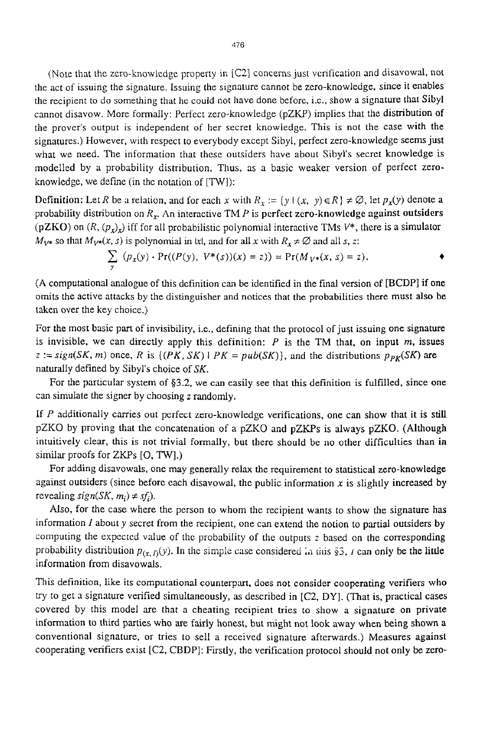(Note that the zcro-knowlcdge property in [C2] concerns just verification and disavowal, not the act of issuing the signature. Issuing the signature cannot be zero-knowledge, since it enables the recipient to do something that he could not have done before, i.e., show a signature that Sibyl cannot disavow. More formally: Perfect zero-knowledge (pZKP) implies that the distribution of the prover's output is independent of her secret knowledge. This is not the case with the signatures.) However, with respect to everybody except Sibyl, perfect zero-knowledge seems just what we need. The information that these outsiders have about Sibyl's secret knowledge is modelled by a probability distribution. Thus, as a basic weaker version of perfect zeroknowledge, we define (in the notation of [TW]):

Definition: Let R be a relation, and for each x with  $R_x := \{y \mid (x, y) \in R\} \neq \emptyset$ , let  $p_x(y)$  denote a probability distribution on *R,.* **An** interactive TM *P* is **perfect** zero-knowledge against outsiders  $(pZKO)$  on  $(R, (p_x)_x)$  iff for all probabilistic polynomial interactive TMs  $V^*$ , there is a simulator  $M_{V^*}$  so that  $M_{V^*}(x, s)$  is polynomial in  $\text{trl}$ , and for all *x* with  $R_x \neq \emptyset$  and all *s*, *z*:

$$
\sum_{y} (p_x(y) \cdot \Pr((P(y), V^*(s))(x) = z)) = \Pr(M_{V^*}(x, s) = z).
$$

**(A** computational analogue of this definition can be identified in die final version of [BCDPI if one omits the active attacks by the distinguisher and notices that the probabilities there must also be taken over the key choice.)

For the most basic part of invisibility, i.e., defining that the protocol of just issuing one signature is invisible, we can directly apply this definition: *P* is the TM that, on input *m,* issues *z*:= *sign(SK, m)* once, *R* is  $\{(PK, SK) \mid PK = pub(SK)\}\$ , and the distributions  $p_{PK}(SK)$  are naturally defined by Sibyl's choice of *SK.* 

can simulate the signer by choosing z randomly. For the particular system of *\$3.2,* we can easily see that this definition is fulfilled, since one

If *P* additionally carries out perfect zero-knowledge verifications, one can show that **it** is still pZKO by proving that the concatenation of a pZKO and pZKPs is always pZKO. (Although intuitively clear, this is not trivial formally, but there should be no other difficulties than in similar proofs for ZKPs [0, TW].)

For adding disavowals, one may generally relax the requirement to statistical zero-knowledge against outsiders (since before each disavowal, the public information *x* is slightly increased by revealing  $sign(SK, m_i) \neq sf_i$ ).

*Also,* for the case where the person *to* whom the recipient wants to show the signature has information *I* about *y* secret from the recipient, one can extend the notion to partial outsiders by computing the expcctcd value of thc probability of the outputs *z* based on the corresponding probability distribution  $p_{(x, f)}(y)$ . In the simple case considered in this  $\S$ 3, *I* can only be the little information from disavowals.

This definition, like its computational counterpart, does not consider cooperating verifiers who **try** to get a signature verified simultaneously, as described in [C2, DY]. (That is, practical cases covered by this model are that **a** cheating recipient tries to show **a** signature on private information to third parties who are fairly honest, but might not look away when being shown a conventional signature, or tries to sell a received signature afterwards.) Measures against cooperating verifiers exist **(C2,** CBDP]: Firstly, the verification protocol should not only be zero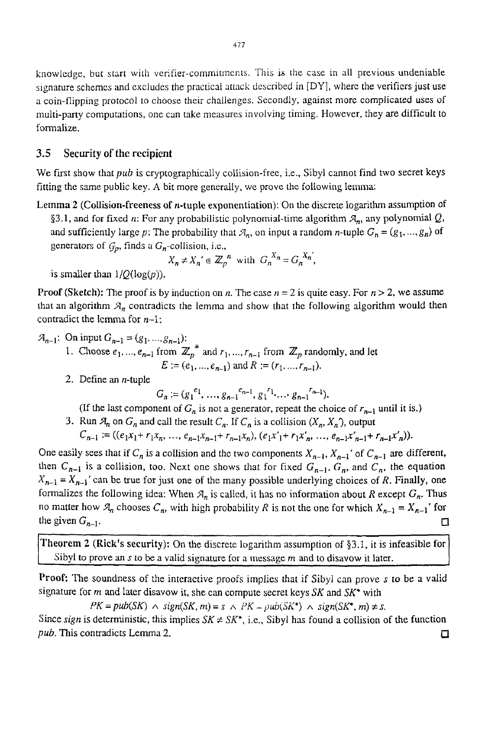knowledge, but start with verifier-commitinents. This is the case in all previous undeniable signature schemes and excludes the practical attack described in [DY], where the verifiers just use a coin-flipping protocol *to* choose their challenges. Secondly, against more complicated uses of multi-party computations, one can take measures involving timing. However, they are difficult to formalize.

#### **3.5 Security of the recipient**

We fist show that *pub* is cryptographically collision-free, i.e., Sibyl cannot find two secret keys fitting the same public **key. A** bit more generally, we prove the following lemma:

**Lemma 2** (Collision-freeness **of** n-tuple exponentiation): On the discrete logarithm assumption **of**  \$3.1, and for fixed *n:* For any probabilistic polynomial-time algorithm *A,,,* any polynomial **Q,**  and sufficiently large *p*: The probability that  $A_n$ , on input a random *n*-tuple  $G_n = (g_1, ..., g_n)$  of generators of  $G_p$ , finds a  $G_n$ -collision, i.e.,

$$
X_n \neq X_n' \in \mathbb{Z}_p^{n} \text{ with } G_n^{X_n} = G_n^{X_n'},
$$

is smaller than  $1/Q(\log(p))$ .

**Proof (Sketch):** The proof is by induction on *n*. The case  $n = 2$  is quite easy. For  $n > 2$ , we assume that an algorithm  $A_n$  contradicts the lemma and show that the following algorithm would then contradict the lemma for  $n-1$ :

$$
\mathcal{A}_{n-1}:\text{ On input }G_{n-1}=(g_1,...,g_{n-1})\text{:}
$$

1. Choose  $e_1$ , ...,  $e_{n-1}$  from  $\mathbb{Z}_p^*$  and  $r_1$ , ...,  $r_{n-1}$  from  $\mathbb{Z}_p$  randomly, and let  $E := (e_1, ..., e_{n-1})$  and  $R := (r_1, ..., r_{n-1}).$ 

*2.* Define an n-tuple

 $G_n := (g_1^{e_1}, \ldots, g_{n-1}^{e_{n-1}}, g_1^{e_1}, \ldots, g_{n-1}^{e_{n-1}}).$ 

(If the last component of  $G_n$  is not a generator, repeat the choice of  $r_{n-1}$  until it is.)

3. Run  $A_n$  on  $G_n$  and call the result  $C_n$ . If  $C_n$  is a collision  $(X_n, X_n)$ , output  $C_{n-1} := ((e_1x_1 + r_1x_n, \ldots, e_{n-1}x_{n-1} + r_{n-1}x_n), (e_1x'_1 + r_1x'_n, \ldots, e_{n-1}x'_{n-1} + r_{n-1}x'_n)).$ 

One easily sees that if  $C_n$  is a collision and the two components  $X_{n-1}$ ,  $X_{n-1}$  of  $C_{n-1}$  are different, then  $C_{n-1}$  is a collision, too. Next one shows that for fixed  $G_{n-1}$ ,  $G_n$ , and  $C_n$ , the equation  $X_{n-1} = X_{n-1}$ ' can be true for just one of the many possible underlying choices of *R*. Finally, one formalizes the following idea: When  $A_n$  is called, it has no information about *R* except  $G_n$ . Thus no matter how  $A_n$  chooses  $C_n$ , with high probability *R* is not the one for which  $X_{n-1} = X_{n-1}$ ' for the given  $G_{n-1}$ .

**Theorem 2** (Rick's **security):** On the discrete logarithm assumption of \$3.1, it is infeasible for Sibyl to prove an s *to* be **a** valid signature for a message *m* and to disavow it later.

**Proof:** The soundness of the interactive proofs implies that if Sibyl can prove s to be a valid signature for *m* and later disavow it, she can compute secret keys *SK* and *SK*<sup>\*</sup> with<br> $PK = pub(SK) \land sign(SK, m) = s \land PK - pub(SK^*) \land sign(SK^*, m) \neq s$ .

$$
PK = pub(SK) \land sign(SK, m) = s \land PK - pub(SK^*) \land sign(SK^*, m) \neq s.
$$

Since *sign* is deterministic, this implies  $SK \neq SK^*$ , i.e., Sibyl has found a collision of the function *pub.* This contradicts Lemma *2.* 

*0*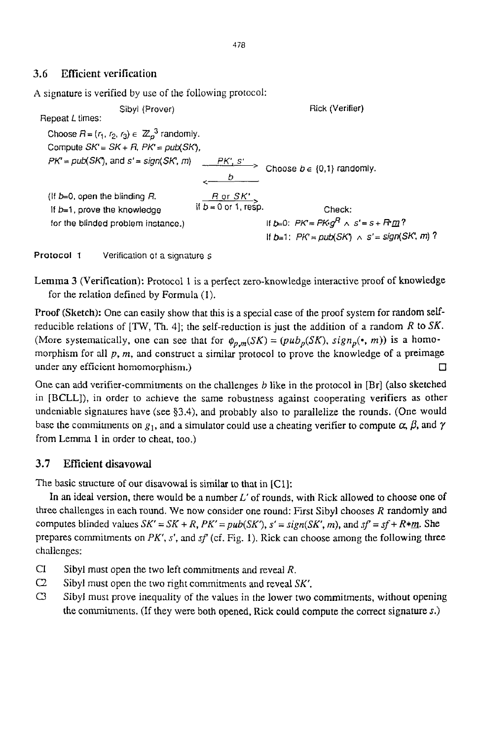## **3.6 Efficient verification**

**A** signature is verified by use of the following protocol:

Sibyl (Prover) Rick (Verifier) Repeat *L* times: Choose  $\overline{R} = (r_1, r_2, r_3) \in \mathbb{Z}_p^3$  randomly. Compute  $SK' = SK + R$ ,  $PK' = pub(SK)$ ,<br>  $PK' = pub(SK)$ , and  $s' = sign(SK, m)$  PK', s' *b*  Choose  $b \in \{0,1\}$  randomly.<br>
<u>R or *SK'*</u><br>  $\frac{a}{b}$  or 1 resp. < (If *LO,* open **the** blinding *R.*  If  $b=1$ , prove the knowledge if  $b=0$  or 1, resp. Check: for **the** blinded problem instance.) **If b=0:**  $PK = PKg^A \wedge s' = s + RT_1$ ? If  $b=1$ :  $PK = pub(SK) \wedge s' = sign(SK, m)$  ?

**Protocol 1** Verification of a signature **s** 

**Lemma 3** (Verification): Protocol 1 is a perfect zero-knowledge interactive proof of knowledge for the relation defined by Formula (1).

**Proof (Sketch):** One can easily show that this is **a** special case of the proof system for random selfreducible relations of [TW, Th. 41; the self-reduction is just the addition of a random *R* to *SK.*  (More systematically, one can see that for  $\phi_{p,m}(SK) = (pub_p(SK), sign_p(*, m))$  is a homomorphism for all *p, m,* and construct a similar protocol to prove the knowledge of a preimage under any efficient homomorphism.) **0** *0* 

One can add verifier-commitments on the challenges *b* like in the protocol in [Br] (also sketched in [BCLL]), in order to achieve the same robustness against cooperating verifiers **as** other undeniable signatures have (see **!j3.4),** and probably also to parallelize the rounds. (One would base the commitments on  $g_1$ , and a simulator could use a cheating verifier to compute  $\alpha$ ,  $\beta$ , and  $\gamma$ from Lemma 1 in order to cheat, *too.)* 

## **3.7 Efficient disavowal**

The basic structure of our disavowal **is** similar to that in [Cl):

In **an** ideal version, there would be a number *L'* of rounds, with Rick allowed to choose one **of three** challenges in each round. We now consider one round: First Sibyl chooses *R* randomly and computes blinded values  $SK' = SK + R$ ,  $PK' = pub(SK')$ ,  $s' = sign(SK', m)$ , and  $sf' = sf + R*m$ . She prepares commitments on *PK',* **s',** and *sf* (cf. Fig. 1). **Rick** can choose among the following three challenges:

- C1 Sibyl must open the two left commitments and reveal *R.*
- *C2*  Sibyl must open the two right commitments **and** reveal *SK'.*
- $\mathbf{C}$ Sibyl must prove inequality of the values in the lower two commitments, without opening the commitments. (If they were both opened, Rick could compute the correct signature **s.)**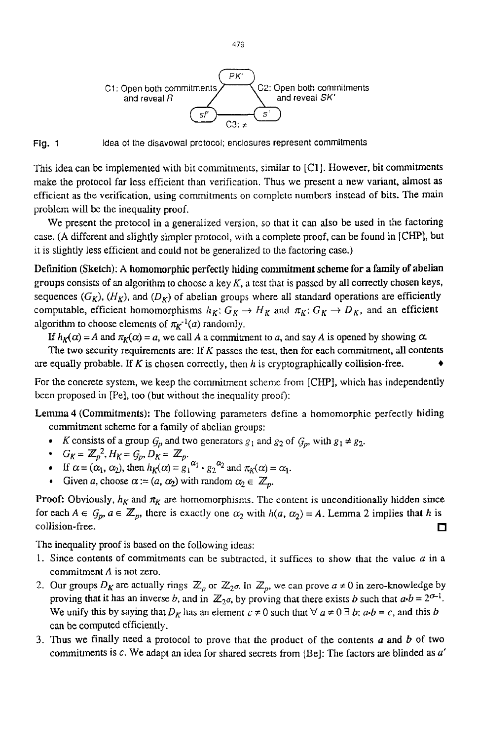

**Fig.** 1 Idea **of** the disavowal protocol; enclosures represent commitments

This idea can be implemented with bit commitments, similar to [Cl]. However, bit commitments make the protocol far less efficient than verification. Thus we present a new variant, almost as efficient as the verification, using commitments on complete numbers instead of bits. The main problem will be the inequality proof.

We present the protocol in a generalized version, so that it can also be used in the factoring case. **(A** different and slightly simpler protocol, with a complete proof, can be found in [CW, but it is slightly less efficient and could not be generalized to the factoring case.)

Defnition (Sketch): **A** homomorphic perfectly **hiding** commitment scheme **for a** family **of** abelian groups consists of an algorithm to choose a key *K,* a test that is passed by all correctly chosen keys, sequences  $(G_K)$ ,  $(H_K)$ , and  $(D_K)$  of abelian groups where all standard operations are efficiently computable, efficient homomorphisms  $h_K: G_K \to H_K$  and  $\pi_K: G_K \to D_K$ , and an efficient algorithm to choose elements of  $\pi_K^{-1}(a)$  randomly.

If  $h_K(\alpha) = A$  and  $\pi_K(\alpha) = a$ , we call A a commitment to a, and say A is opened by showing  $\alpha$ .

The two security requirements are: If *K* passes the test, then for each commitment, all contents  $\bullet$ are equally probable. If *K* is chosen correctly, then *h* **is** cryptographically collision-free.

For the concrete system, we keep the commitment scheme from *[CHP],* which has independently bcen proposed in [Pel, too (but without the inequality proof):

Lemma **4** (Commitments): The following parameters define **a** homomorphic perfectly hiding commitment scheme for a family of abelian groups:

- **K** consists of a group  $\mathcal{G}_p$  and two generators  $g_1$  and  $g_2$  of  $\mathcal{G}_p$ , with  $g_1 \neq g_2$ .
- 
- If  $\alpha = (\alpha_1, \alpha_2)$ , then  $h_K(\alpha) = g_1^{\alpha_1} \cdot g_2^{\alpha_2}$  and  $\pi_K(\alpha) = \alpha_1$ .
- Given *a*, choose  $\alpha := (a, \alpha_2)$  with random  $\alpha_2 \in \mathbb{Z}_p$ .

**Proof:** Obviously,  $h_K$  and  $\pi_K$  are homomorphisms. The content is unconditionally hidden since for each  $A \in G_p$ ,  $a \in \mathbb{Z}_p$ , there is exactly one  $\alpha_2$  with  $h(a, \alpha_2) = A$ . Lemma 2 implies that *h* is collision-free. O

The inequality proof is based on the following ideas:

- 1. Since contents of commitments can be subtracted, it suffices to show that the value  $a$  in a commitment *A* is not zero.
- 2. Our groups  $D_K$  are actually rings  $\mathbb{Z}_p$  or  $\mathbb{Z}_{2^{\sigma}}$ . In  $\mathbb{Z}_p$ , we can prove  $a \neq 0$  in zero-knowledge by proving that it has an inverse *b*, and in  $\mathbb{Z}_{29}$ , by proving that there exists *b* such that  $a \cdot b = 2^{\sigma-1}$ . We unify this by saying that  $D_K$  has an element  $c \neq 0$  such that  $\forall a \neq 0 \exists b$ :  $a \cdot b = c$ , and this *b* can be computed efficiently.
- 3. Thus we finally need a protocol to prove that the product of the contents a and *b* of two commitments is **C.** We adapt **an** idea for shared secrets from [Be]: The factors are blinded as *a'*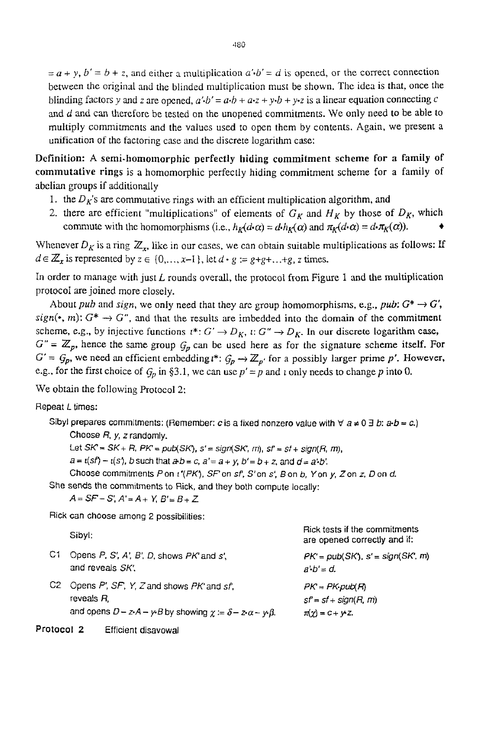$= a + y$ ,  $b' = b + z$ , and either a multiplication  $a'b' = d$  is opened, or the correct connection between the original and the blinded multiplication must be shown. The idea is that, once the blinding factors y and z are opened,  $a'$   $b' = a \cdot b + a \cdot z + y \cdot b + y \cdot z$  is a linear equation connecting c and *d* and can therefore be tested on the unopened commitments. We only need to be able *to*  multiply commitmcnts and the values used to open them by contents. Again, we present a unification of the factoring case and the discrete logarithm case:

Definition: A semi-homomorphic perfectly hiding commitment scheme **for a** family **of**  commutative rings is a homomorphic perfectly hiding commitment scheme for a family of abelian groups if additionally

- 1. the  $D_K$ 's are commutative rings with an efficient multiplication algorithm, and
- 2. there are efficient "multiplications" of elements of  $G_K$  and  $H_K$  by those of  $D_K$ , which + commute with the homomorphisms (i.e.,  $h_K(d \cdot \alpha) = d \cdot h_K(\alpha)$  and  $\pi_K(d \cdot \alpha) = d \cdot \pi_K(\alpha)$ ).

Whenever  $D_K$  is a ring  $\mathbb{Z}_x$ , like in our cases, we can obtain suitable multiplications as follows: If  $d \in \mathbb{Z}_{x}$  is represented by  $z \in \{0, \ldots, x-1\}$ , let  $d \cdot g := g + g + \ldots + g$ , z times.

In order to manage with just *L* rounds overall, the protocol from Figure 1 and the multiplication protocoI are joined more closely.

About *pub* and *sign*, we only need that they are group homomorphisms, e.g., *pub:*  $G^* \rightarrow G'$ ,  $sign(\bullet, m)$ :  $G^* \rightarrow G''$ , and that the results are imbedded into the domain of the commitment scheme, e.g., by injective functions  $i^*: G' \to D_K$ ,  $i: G'' \to D_K$ . In our discrete logarithm case,  $G'' = \mathbb{Z}_p$ , hence the same group  $\mathcal{G}_p$  can be used here as for the signature scheme itself. For  $G' = G_p$ , we need an efficient embedding  $t^*$ :  $G_p \rightarrow \mathbb{Z}_{p'}$  for a possibly larger prime p'. However, e.g., for the first choice of  $\mathcal{G}_p$  in §3.1, we can use  $p' = p$  and *I* only needs to change p into 0.

We obtain the following Protocol 2:

Repeat *L* times:

```
Sibyl prepares commitments: (Remember: c is a fixed nonzero value with \forall a \neq 0 \exists b: a \cdot b = c.)
     Choose R. y, z randomly. 
     Let SK = SK + R, PK = pub(SK), s' = sign(SK, m), sf = st + sign(R, m),
```
 $a = t(sf) - t(s)$ , b such that  $ab = c$ ,  $a' = a + y$ ,  $b' = b + z$ , and  $d = a'b'$ .

Choose commitments Pon *r'(PK7, SPon sf.* S'on s', Bon *b,* Yon *y,* Zon *z.* Don *d.*  She **sends** the commitments to Rick, and they both compute locally:

*A=SF-S:A'=A+ V; B'=B+Z* 

Rick can choose among 2 possibilities:

|                                   | Sibyl:                                                                                                                                                                       |                                                               | Rick tests if the commitments<br>are opened correctly and if:            |
|-----------------------------------|------------------------------------------------------------------------------------------------------------------------------------------------------------------------------|---------------------------------------------------------------|--------------------------------------------------------------------------|
| C1.                               |                                                                                                                                                                              | Opens P, S', A', B', D, shows PK' and s',<br>and reveals SK'. | $PK = \text{pub}(SK)$ , $s' = \text{sign}(SK, m)$<br>$a \cdot b' = d$    |
|                                   | C2 Opens P', SF', Y, Z and shows $PK$ and sf,<br>reveals R.<br>and opens $D - z \cdot A - \gamma \cdot B$ by showing $\chi = \delta - z \cdot \alpha - \gamma \cdot \beta$ . |                                                               | $PK = PK$ -pub $(R)$<br>$sf = st + sign(R, m)$<br>$\pi(\gamma) = C + VZ$ |
| Protocol 2<br>Efficient disavowal |                                                                                                                                                                              |                                                               |                                                                          |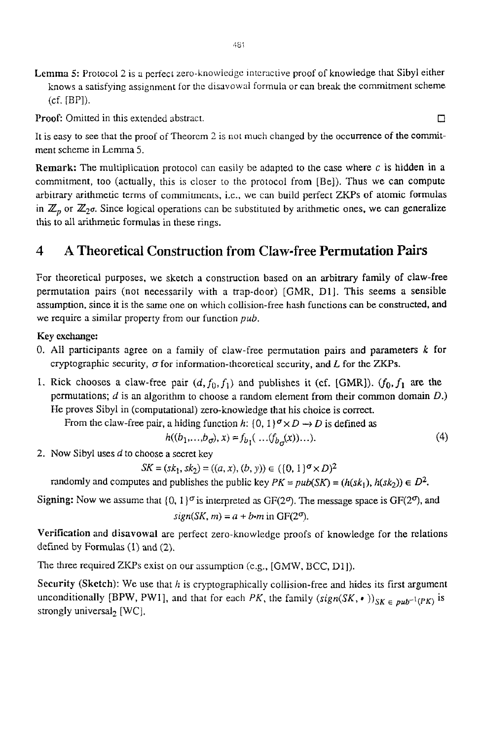Lemma 5: Protocol 2 is a perfect zero-knowledge interactive proof of knowledge that Sibyl either knows a satisfying assignment for the disavowal formula or can break the commitment scheme (cf. [BPI).

**Proof:** Omitted in this extended abstract.

It is easy to see that the proof of Theorcm 2 is not much changed by **the** occurrence of the commitment scheme in Lemma 5.

Remark: The multiplication protocol can easily be adapted to the case where c is hidden in **a**  commitment, too (actually, this is closer to the protocol from [Be]). Thus we can compute arbitrary arithmetic terms of commitments, i.c., we can build perfect ZKPs of atomic formulas in  $\mathbb{Z}_p$  or  $\mathbb{Z}_{2\sigma}$ . Since logical operations can be substituted by arithmetic ones, we can generalize this to all arithmetic formulas in these rings.

# **4 A Theoretical Construction from Claw-free Permutation Pairs**

For theoretical purposes, we sketch a construction based on an arbitrary **family** of claw-free permutation pairs (not necessarily with a trap-door) [GMR, Dl]. This seems a sensible assumption, since it is the same one on which collision-free hash functions can be constructed, and we require a similar property from our function *pub.* 

Key exchange:

- 0. All participants agree on a family of claw-free permutation pairs and parameters *k* for cryptographic security,  $\sigma$  for information-theoretical security, and  $L$  for the ZKPs.
- 1. Rick chooses a claw-free pair  $(d, f_0, f_1)$  and publishes it (cf. [GMR]).  $(f_0, f_1)$  are the permutations; *d* is an algonthm to choose a random element from their common domain *D.)*  He proves Sibyl in (computational) zero-knowledge that his choice is correct.

From the claw-free pair, a hiding function *h*:  $\{0, 1\}^{\sigma} \times D \rightarrow D$  is defined as

$$
h((b_1,...,b_{\sigma}),x) = f_{b_1}(...(f_{b_{\sigma}}(x))...).
$$
 (4)

2. NOW Sibyl uses **d** to choose a secret key

$$
SK = (sk_1, sk_2) = ((a, x), (b, y)) \in (\{0, 1\}^{\sigma} \times D)^2
$$

randomly and computes and publishes the public key  $PK = pub(SK) = (h(sk_1), h(sk_2)) \in D^2$ .

Signing: Now we assume that  $\{0, 1\}^{\sigma}$  is interpreted as GF(2 $\sigma$ ). The message space is GF(2 $\sigma$ ), and

$$
sign(SK, m) = a + b \cdot m
$$
 in GF(2<sup>o</sup>).

Verification and disavowal are perfect zero-knowledge proofs of knowledge for the relations defined by Formulas (1) and *(2).* 

The three required ZKPs exist on our assumption *(e.g., [GMW,* BCC, Dl]).

Security (Sketch): We use that *h* is cryptographically collision-free and hides its first argument unconditionally [BPW, PW1], and that for each *PK*, the family  $(sign(SK, \cdot))_{SK \in pub^{-1}(PK)}$  is strongly universal<sub>2</sub> [WC].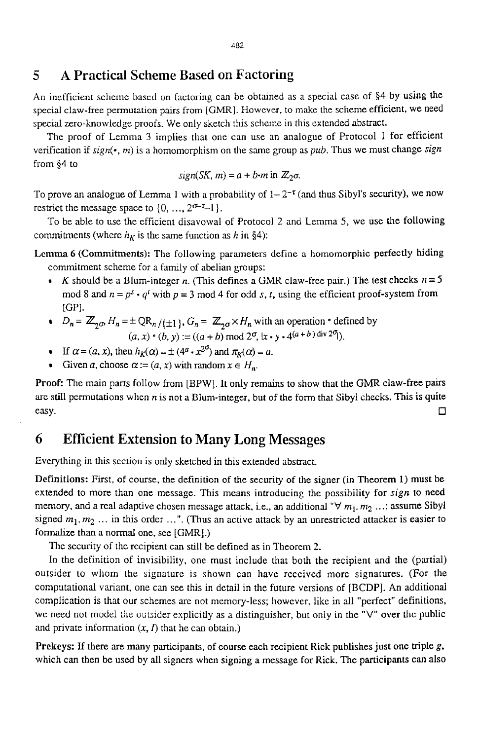## *5* **A Practical Scheme Based on Factoring**

An inefficient scheme based on factoring can be obtained as a special case of **94** by using the special claw-free permutation **pairs** from *[GMR].* However, to make the scheme efficient, we need special zero-knowledge proofs. We only sketch this scheme in this extended abstract.

The proof of Lemma 3 implies that one can use an analogue of Protocol I for efficient verification if *sign(\*, rn)* is a homomorphism on the same group as *pub.* Thus we must change *sign*  from \$4 to

$$
sign(SK, m) = a + b \cdot m \text{ in } \mathbb{Z}_{2} \sigma.
$$

To prove an analogue of Lemma 1 with a probability of  $1-2^{-\tau}$  (and thus Sibyl's security), we now restrict the message space to  $\{0, \ldots, 2^{\sigma-r-1}\}\.$ 

To be able to **use** the efficient disavowal of Protocol 2 and Lemma 5, we use the following commitments (where  $h_K$  is the same function as *h* in §4):

## **Lcmma** *6* (Commitments): The following parameters define a homomorphic perfectly hiding commitment scheme for a family of abelian groups:

- **K** should be a Blum-integer *n*. (This defines a GMR claw-free pair.) The test checks  $n = 5$ mod 8 and  $n = p^s \cdot q^t$  with  $p \equiv 3 \mod 4$  for odd s, t, using the efficient proof-system from [GP].
- $D_n = \mathbb{Z}_{\gamma O}, H_n = \pm QR_n / {\pm 1}, G_n = \mathbb{Z}_{\gamma O} \times H_n$  with an operation  $\circ$  defined by  $(a, x) \cdot (b, y) := ((a + b) \mod 2^{\sigma}, |x - y| \cdot 4^{(a + b) \dim 2^{\sigma}}).$
- If  $\alpha = (a, x)$ , then  $h_K(\alpha) = \pm (4^a \cdot x^{2\alpha})$  and  $\pi_K(\alpha) = a$ .
- Given *a*, choose  $\alpha := (a, x)$  with random  $x \in H_n$ .

**Proof:** The main **parts** follow from [BPW]. It only remains to show that the *GMR* claw-free **pairs**  are **still** permutations when *n* is not **a** Blum-integer, but of the form that Sibyl checks. This is quite easy.  $\Box$ 

# **6 Efficient Extension to Many Long Messages**

Everything in this section is only sketched in this extended abstract.

Definitions: First, of course, **the** definition of the security of the signer (in Theorem 1) must be extended to more than one message. This means introducing the possibility for *sign* to need memory, and a real adaptive chosen message attack, i.e., an additional "V *ml. rn2* .. .: assume Sibyl signed  $m_1, m_2, \ldots$  in this order  $\ldots$ ". (Thus an active attack by an unrestricted attacker is easier to formalize than a normal one, see *[GMR].)* 

The security of the recipient can still be defined **as** in Theorem *2.* 

In the definition of invisibility, one must include that both the recipient and the (partial) outsider **to** whom the signature is shown can have received more signatures. (For the computational variant, one can see this in detail in the future versions of **[BCDP]. An** additional complication is that our schemes are not memory-less; however, like in all "perfect" definitions, we need not model the outsider explicitly as a distinguisher, but only in the " $\forall$ " over the public and private information  $(x, I)$  that he can obtain.)

Prekeys: If there are many participants, of course each recipient Rick publishes just one triple g, which can then be used by all signers when signing a message for Rick. The participants can also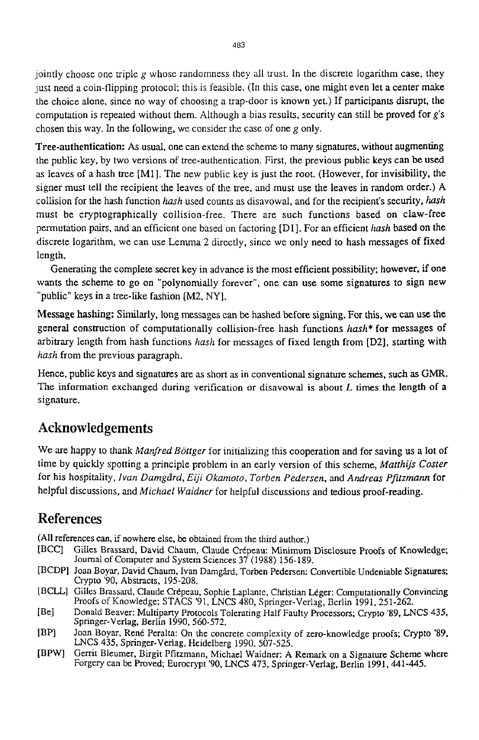jointly choose one triple **g** whose randomness they all trust. In the discrete logarithm case, they just need a coin-flipping protocol: this is feasible. (In this case, one might even let a center make the choice alone, since no way of choosing **il** trap-door is known yet.) If participants disrupt, the computation is repeated without them. Although a bias results, security can still be proved for **g's**  chosen this way. In the following, we consider the case of one **g** only.

Tree-authentication: **As** usual, one can extend the scheme to many signatures, without augmenting the public key, by two versions of tree-authentication. First, the previous public keys can be used **as** leaves **of** a hash tree [Ml]. The new public key is just the root. (However, for invisibility, the signer must tell the recipient the leaves of the tree, and must use the leaves in random order.) **A**  collision for the hash function *hash* used counts **as** disavowal, and for the recipient's security, *hash*  must be cryptographically collision-free. There are such functions based on claw-free permutation pairs, and an efficient one based on factoring [Dl]. For an efficient *hash* based on the discrete logarithm, we can use Lemma **2** directly, since we only need to hash messages of fixed length.

Generating the complete secret key in advance is the most efficient possibility; however, if one wants the scheme to go on "polynomially forever", one can use some signatures *to* sign new "public" keys in a tree-like fashion *[M2, NY].* 

**Message** hashing: Similarly, long messages can be hashed before signing. For this, **we** can **use** the general construction of computationally collision-free hash functions *hash\** for messages of arbitrary length from hash functions *hash* for messages of fixed length from [D2], starting with *hash* from the previous paragraph.

Hence, public keys and signatures are **as** short **as** in conventional signature schemes, such **as** *GMR.*  The information exchanged during verification or disavowal is about  $L$  times the length of a signature.

# **Acknowledgements**

We are happy to **thank** *Manfred Bijffger* for initializing this cooperation and for saving US a lot of time by quickly spotting a principle problem in an early version of this scheme, *Matthijs Coster* for his hospitality, *Ivan Darngdrd, Eiji Okamoto, Torben Pedersen,* and *Andreas Pfitzmann* for helpful discussions, and *Michael Waidner* for helpful discussions and tedious proof-reading.

# **References**

(All references **can,** if nowhere else, be obtained from the third author.)

- [BCC] Gilles Brassard, David Chaum, Claude Crtpeau: Minimum Disclosure Proofs of Knowledge; Journal of Computer and System Sciences 37 (1988) 156-189.
- [BCDP] Joan Boyar, David Chaum, Ivan Damgård, Torben Pedersen: Convertible Undeniable Signatures; Crypt0 *'90,* Abstracts, 195-208.
- [BCLL] Gilles Brassard, Claude Crépeau, Sophie Laplante, Christian Léger: Computationally Convincing Proofs of Knowledge: STACS '91, LNCS **480,** Springer-Verlag, Berlin 1991.251-262.
- [Be] Donald Beaver: Multiparty Protocols Tolerating Half Faulty Processors; Crypto **'89,** LNCS **435,**  Springer-Verlag, Berlin 1990.560-572.
- [BP] Joan Boyar, René Peralta: On the concrete complexity of zero-knowledge proofs; Crypto '89, LNCS 435, Springer-Verlag, Heidelberg 1990, 507-525.
- [BPW Gerrit Bleumer, Birgit Pfitimann, Michael Waidner: **A** Remark on a Signature Scheme **where**  Forgery can be Proved; Eurocrypt '90, LNCS 473, Springer-Verlag, Berlin 1991,441-445.